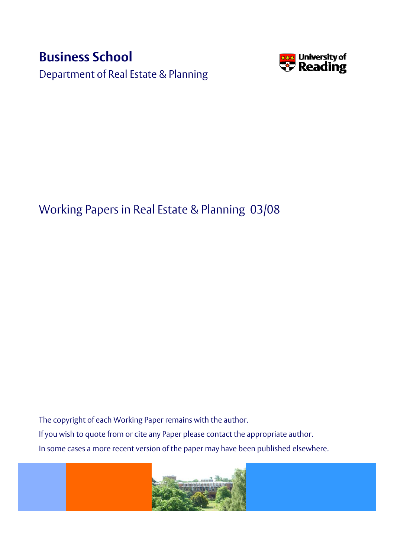# **Business School**

Department of Real Estate & Planning



# Working Papers in Real Estate & Planning 03/08

The copyright of each Working Paper remains with the author. If you wish to quote from or cite any Paper please contact the appropriate author. In some cases a more recent version of the paper may have been published elsewhere.

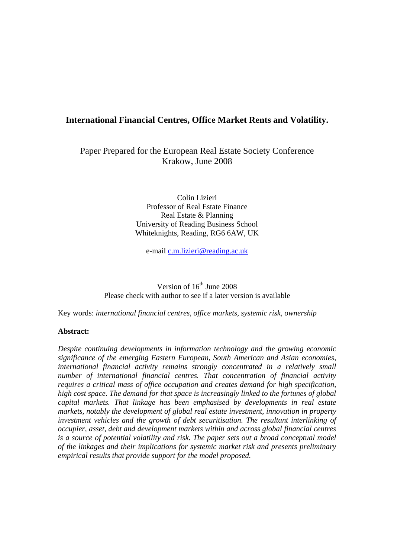Paper Prepared for the European Real Estate Society Conference Krakow, June 2008

> Colin Lizieri Professor of Real Estate Finance Real Estate & Planning University of Reading Business School Whiteknights, Reading, RG6 6AW, UK

e-mail c.m.lizieri@reading.ac.uk

Version of 16<sup>th</sup> June 2008 Please check with author to see if a later version is available

Key words: *international financial centres, office markets, systemic risk, ownership* 

## **Abstract:**

*Despite continuing developments in information technology and the growing economic significance of the emerging Eastern European, South American and Asian economies, international financial activity remains strongly concentrated in a relatively small number of international financial centres. That concentration of financial activity requires a critical mass of office occupation and creates demand for high specification, high cost space. The demand for that space is increasingly linked to the fortunes of global capital markets. That linkage has been emphasised by developments in real estate markets, notably the development of global real estate investment, innovation in property investment vehicles and the growth of debt securitisation. The resultant interlinking of occupier, asset, debt and development markets within and across global financial centres is a source of potential volatility and risk. The paper sets out a broad conceptual model of the linkages and their implications for systemic market risk and presents preliminary empirical results that provide support for the model proposed.*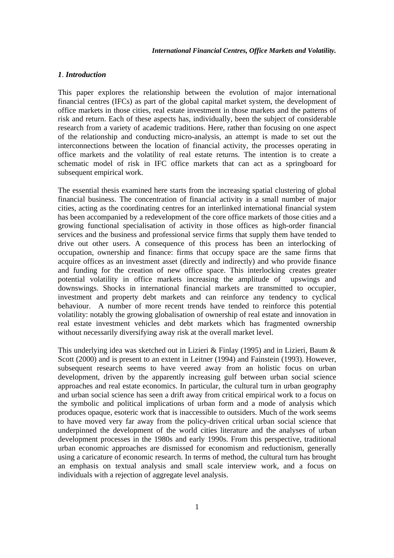#### *1*. *Introduction*

This paper explores the relationship between the evolution of major international financial centres (IFCs) as part of the global capital market system, the development of office markets in those cities, real estate investment in those markets and the patterns of risk and return. Each of these aspects has, individually, been the subject of considerable research from a variety of academic traditions. Here, rather than focusing on one aspect of the relationship and conducting micro-analysis, an attempt is made to set out the interconnections between the location of financial activity, the processes operating in office markets and the volatility of real estate returns. The intention is to create a schematic model of risk in IFC office markets that can act as a springboard for subsequent empirical work.

The essential thesis examined here starts from the increasing spatial clustering of global financial business. The concentration of financial activity in a small number of major cities, acting as the coordinating centres for an interlinked international financial system has been accompanied by a redevelopment of the core office markets of those cities and a growing functional specialisation of activity in those offices as high-order financial services and the business and professional service firms that supply them have tended to drive out other users. A consequence of this process has been an interlocking of occupation, ownership and finance: firms that occupy space are the same firms that acquire offices as an investment asset (directly and indirectly) and who provide finance and funding for the creation of new office space. This interlocking creates greater potential volatility in office markets increasing the amplitude of upswings and downswings. Shocks in international financial markets are transmitted to occupier, investment and property debt markets and can reinforce any tendency to cyclical behaviour. A number of more recent trends have tended to reinforce this potential volatility: notably the growing globalisation of ownership of real estate and innovation in real estate investment vehicles and debt markets which has fragmented ownership without necessarily diversifying away risk at the overall market level.

This underlying idea was sketched out in Lizieri & Finlay (1995) and in Lizieri, Baum & Scott (2000) and is present to an extent in Leitner (1994) and Fainstein (1993). However, subsequent research seems to have veered away from an holistic focus on urban development, driven by the apparently increasing gulf between urban social science approaches and real estate economics. In particular, the cultural turn in urban geography and urban social science has seen a drift away from critical empirical work to a focus on the symbolic and political implications of urban form and a mode of analysis which produces opaque, esoteric work that is inaccessible to outsiders. Much of the work seems to have moved very far away from the policy-driven critical urban social science that underpinned the development of the world cities literature and the analyses of urban development processes in the 1980s and early 1990s. From this perspective, traditional urban economic approaches are dismissed for economism and reductionism, generally using a caricature of economic research. In terms of method, the cultural turn has brought an emphasis on textual analysis and small scale interview work, and a focus on individuals with a rejection of aggregate level analysis.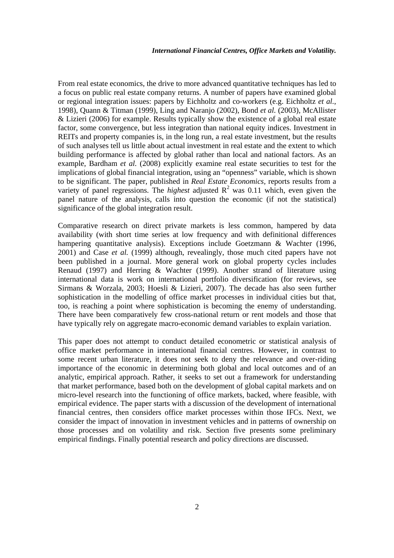From real estate economics, the drive to more advanced quantitative techniques has led to a focus on public real estate company returns. A number of papers have examined global or regional integration issues: papers by Eichholtz and co-workers (e.g. Eichholtz *et al.*, 1998), Quann & Titman (1999), Ling and Naranjo (2002), Bond *et al.* (2003), McAllister & Lizieri (2006) for example. Results typically show the existence of a global real estate factor, some convergence, but less integration than national equity indices. Investment in REITs and property companies is, in the long run, a real estate investment, but the results of such analyses tell us little about actual investment in real estate and the extent to which building performance is affected by global rather than local and national factors. As an example, Bardham *et al.* (2008) explicitly examine real estate securities to test for the implications of global financial integration, using an "openness" variable, which is shown to be significant. The paper, published in *Real Estate Economics,* reports results from a variety of panel regressions. The *highest* adjusted  $R^2$  was 0.11 which, even given the panel nature of the analysis, calls into question the economic (if not the statistical) significance of the global integration result.

Comparative research on direct private markets is less common, hampered by data availability (with short time series at low frequency and with definitional differences hampering quantitative analysis). Exceptions include Goetzmann & Wachter (1996, 2001) and Case *et al.* (1999) although, revealingly, those much cited papers have not been published in a journal. More general work on global property cycles includes Renaud (1997) and Herring & Wachter (1999). Another strand of literature using international data is work on international portfolio diversification (for reviews, see Sirmans & Worzala, 2003; Hoesli & Lizieri, 2007). The decade has also seen further sophistication in the modelling of office market processes in individual cities but that, too, is reaching a point where sophistication is becoming the enemy of understanding. There have been comparatively few cross-national return or rent models and those that have typically rely on aggregate macro-economic demand variables to explain variation.

This paper does not attempt to conduct detailed econometric or statistical analysis of office market performance in international financial centres. However, in contrast to some recent urban literature, it does not seek to deny the relevance and over-riding importance of the economic in determining both global and local outcomes and of an analytic, empirical approach. Rather, it seeks to set out a framework for understanding that market performance, based both on the development of global capital markets and on micro-level research into the functioning of office markets, backed, where feasible, with empirical evidence. The paper starts with a discussion of the development of international financial centres, then considers office market processes within those IFCs. Next, we consider the impact of innovation in investment vehicles and in patterns of ownership on those processes and on volatility and risk. Section five presents some preliminary empirical findings. Finally potential research and policy directions are discussed.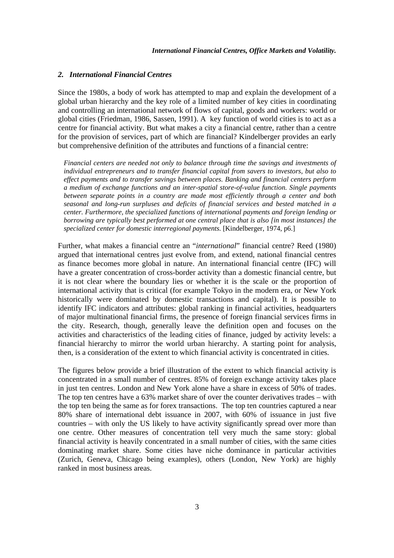#### *2. International Financial Centres*

Since the 1980s, a body of work has attempted to map and explain the development of a global urban hierarchy and the key role of a limited number of key cities in coordinating and controlling an international network of flows of capital, goods and workers: world or global cities (Friedman, 1986, Sassen, 1991). A key function of world cities is to act as a centre for financial activity. But what makes a city a financial centre, rather than a centre for the provision of services, part of which are financial? Kindelberger provides an early but comprehensive definition of the attributes and functions of a financial centre:

*Financial centers are needed not only to balance through time the savings and investments of individual entrepreneurs and to transfer financial capital from savers to investors, but also to effect payments and to transfer savings between places. Banking and financial centers perform a medium of exchange functions and an inter-spatial store-of-value function. Single payments between separate points in a country are made most efficiently through a center and both seasonal and long-run surpluses and deficits of financial services and bested matched in a center. Furthermore, the specialized functions of international payments and foreign lending or borrowing are typically best performed at one central place that is also [in most instances] the specialized center for domestic interregional payments.* [Kindelberger, 1974, p6.]

Further, what makes a financial centre an "*international*" financial centre? Reed (1980) argued that international centres just evolve from, and extend, national financial centres as finance becomes more global in nature. An international financial centre (IFC) will have a greater concentration of cross-border activity than a domestic financial centre, but it is not clear where the boundary lies or whether it is the scale or the proportion of international activity that is critical (for example Tokyo in the modern era, or New York historically were dominated by domestic transactions and capital). It is possible to identify IFC indicators and attributes: global ranking in financial activities, headquarters of major multinational financial firms, the presence of foreign financial services firms in the city. Research, though, generally leave the definition open and focuses on the activities and characteristics of the leading cities of finance, judged by activity levels: a financial hierarchy to mirror the world urban hierarchy. A starting point for analysis, then, is a consideration of the extent to which financial activity is concentrated in cities.

The figures below provide a brief illustration of the extent to which financial activity is concentrated in a small number of centres. 85% of foreign exchange activity takes place in just ten centres. London and New York alone have a share in excess of 50% of trades. The top ten centres have a 63% market share of over the counter derivatives trades – with the top ten being the same as for forex transactions. The top ten countries captured a near 80% share of international debt issuance in 2007, with 60% of issuance in just five countries – with only the US likely to have activity significantly spread over more than one centre. Other measures of concentration tell very much the same story: global financial activity is heavily concentrated in a small number of cities, with the same cities dominating market share. Some cities have niche dominance in particular activities (Zurich, Geneva, Chicago being examples), others (London, New York) are highly ranked in most business areas.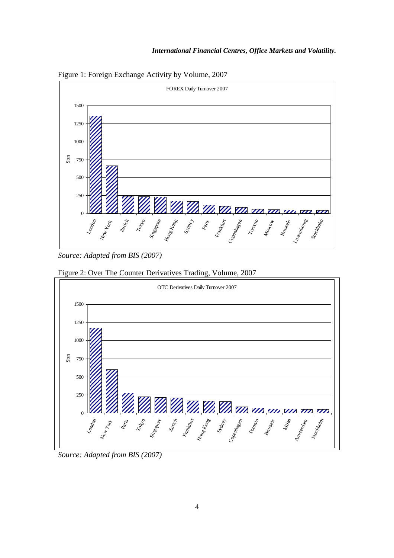

Figure 1: Foreign Exchange Activity by Volume, 2007

# Figure 2: Over The Counter Derivatives Trading, Volume, 2007



*Source: Adapted from BIS (2007)* 

*Source: Adapted from BIS (2007)*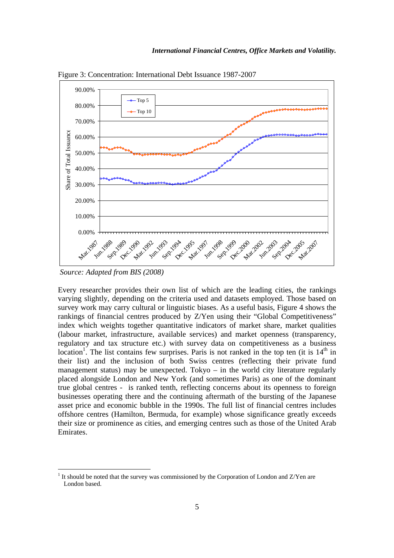

Figure 3: Concentration: International Debt Issuance 1987-2007

*Source: Adapted from BIS (2008)* 

Every researcher provides their own list of which are the leading cities, the rankings varying slightly, depending on the criteria used and datasets employed. Those based on survey work may carry cultural or linguistic biases. As a useful basis, Figure 4 shows the rankings of financial centres produced by Z/Yen using their "Global Competitiveness" index which weights together quantitative indicators of market share, market qualities (labour market, infrastructure, available services) and market openness (transparency, regulatory and tax structure etc.) with survey data on competitiveness as a business location<sup>1</sup>. The list contains few surprises. Paris is not ranked in the top ten (it is  $14<sup>th</sup>$  in their list) and the inclusion of both Swiss centres (reflecting their private fund management status) may be unexpected. Tokyo – in the world city literature regularly placed alongside London and New York (and sometimes Paris) as one of the dominant true global centres - is ranked tenth, reflecting concerns about its openness to foreign businesses operating there and the continuing aftermath of the bursting of the Japanese asset price and economic bubble in the 1990s. The full list of financial centres includes offshore centres (Hamilton, Bermuda, for example) whose significance greatly exceeds their size or prominence as cities, and emerging centres such as those of the United Arab Emirates.

<sup>&</sup>lt;sup>1</sup> It should be noted that the survey was commissioned by the Corporation of London and Z/Yen are London based.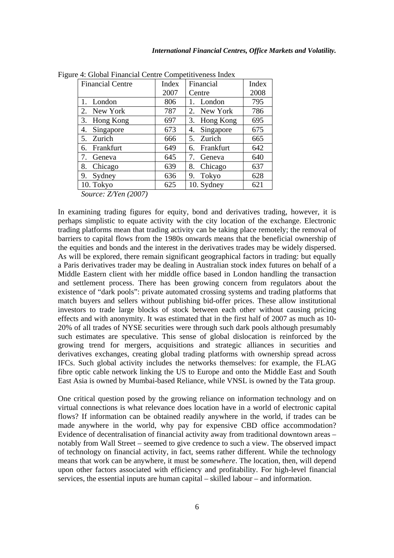| <b>Financial Centre</b> | Index | Financial       | Index |
|-------------------------|-------|-----------------|-------|
|                         | 2007  | Centre          | 2008  |
| 1. London               | 806   | 1. London       | 795   |
| New York<br>2.          | 787   | New York<br>2.  | 786   |
| Hong Kong<br>3.         | 697   | Hong Kong<br>3. | 695   |
| Singapore<br>4.         | 673   | 4. Singapore    | 675   |
| Zurich<br>5.            | 666   | 5. Zurich       | 665   |
| Frankfurt<br>6.         | 649   | Frankfurt<br>6. | 642   |
| 7.<br>Geneva            | 645   | Geneva<br>7.    | 640   |
| 8.<br>Chicago           | 639   | 8.<br>Chicago   | 637   |
| 9. Sydney               | 636   | Tokyo<br>9.     | 628   |
| 10. Tokyo               | 625   | 10. Sydney      | 621   |

Figure 4: Global Financial Centre Competitiveness Index

*Source: Z/Yen (2007)*

In examining trading figures for equity, bond and derivatives trading, however, it is perhaps simplistic to equate activity with the city location of the exchange. Electronic trading platforms mean that trading activity can be taking place remotely; the removal of barriers to capital flows from the 1980s onwards means that the beneficial ownership of the equities and bonds and the interest in the derivatives trades may be widely dispersed. As will be explored, there remain significant geographical factors in trading: but equally a Paris derivatives trader may be dealing in Australian stock index futures on behalf of a Middle Eastern client with her middle office based in London handling the transaction and settlement process. There has been growing concern from regulators about the existence of "dark pools": private automated crossing systems and trading platforms that match buyers and sellers without publishing bid-offer prices. These allow institutional investors to trade large blocks of stock between each other without causing pricing effects and with anonymity. It was estimated that in the first half of 2007 as much as 10- 20% of all trades of NYSE securities were through such dark pools although presumably such estimates are speculative. This sense of global dislocation is reinforced by the growing trend for mergers, acquisitions and strategic alliances in securities and derivatives exchanges, creating global trading platforms with ownership spread across IFCs. Such global activity includes the networks themselves: for example, the FLAG fibre optic cable network linking the US to Europe and onto the Middle East and South East Asia is owned by Mumbai-based Reliance, while VNSL is owned by the Tata group.

One critical question posed by the growing reliance on information technology and on virtual connections is what relevance does location have in a world of electronic capital flows? If information can be obtained readily anywhere in the world, if trades can be made anywhere in the world, why pay for expensive CBD office accommodation? Evidence of decentralisation of financial activity away from traditional downtown areas – notably from Wall Street – seemed to give credence to such a view. The observed impact of technology on financial activity, in fact, seems rather different. While the technology means that work can be anywhere, it must be *somewhere*. The location, then, will depend upon other factors associated with efficiency and profitability. For high-level financial services, the essential inputs are human capital – skilled labour – and information.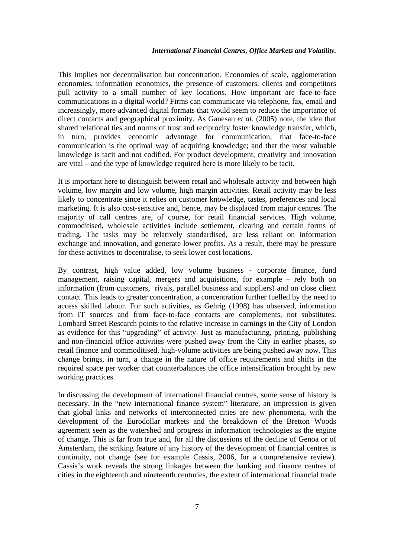This implies not decentralisation but concentration. Economies of scale, agglomeration economies, information economies, the presence of customers, clients and competitors pull activity to a small number of key locations. How important are face-to-face communications in a digital world? Firms can communicate via telephone, fax, email and increasingly, more advanced digital formats that would seem to reduce the importance of direct contacts and geographical proximity. As Ganesan *et al.* (2005) note, the idea that shared relational ties and norms of trust and reciprocity foster knowledge transfer, which, in turn, provides economic advantage for communication; that face-to-face communication is the optimal way of acquiring knowledge; and that the most valuable knowledge is tacit and not codified. For product development, creativity and innovation are vital – and the type of knowledge required here is more likely to be tacit.

It is important here to distinguish between retail and wholesale activity and between high volume, low margin and low volume, high margin activities. Retail activity may be less likely to concentrate since it relies on customer knowledge, tastes, preferences and local marketing. It is also cost-sensitive and, hence, may be displaced from major centres. The majority of call centres are, of course, for retail financial services. High volume, commoditised, wholesale activities include settlement, clearing and certain forms of trading. The tasks may be relatively standardised, are less reliant on information exchange and innovation, and generate lower profits. As a result, there may be pressure for these activities to decentralise, to seek lower cost locations.

By contrast, high value added, low volume business - corporate finance, fund management, raising capital, mergers and acquisitions, for example – rely both on information (from customers, rivals, parallel business and suppliers) and on close client contact. This leads to greater concentration, a concentration further fuelled by the need to access skilled labour. For such activities, as Gehrig (1998) has observed, information from IT sources and from face-to-face contacts are complements, not substitutes. Lombard Street Research points to the relative increase in earnings in the City of London as evidence for this "upgrading" of activity. Just as manufacturing, printing, publishing and non-financial office activities were pushed away from the City in earlier phases, so retail finance and commoditised, high-volume activities are being pushed away now. This change brings, in turn, a change in the nature of office requirements and shifts in the required space per worker that counterbalances the office intensification brought by new working practices.

In discussing the development of international financial centres, some sense of history is necessary. In the "new international finance system" literature, an impression is given that global links and networks of interconnected cities are new phenomena, with the development of the Eurodollar markets and the breakdown of the Bretton Woods agreement seen as the watershed and progress in information technologies as the engine of change. This is far from true and, for all the discussions of the decline of Genoa or of Amsterdam, the striking feature of any history of the development of financial centres is continuity, not change (see for example Cassis, 2006, for a comprehensive review). Cassis's work reveals the strong linkages between the banking and finance centres of cities in the eighteenth and nineteenth centuries, the extent of international financial trade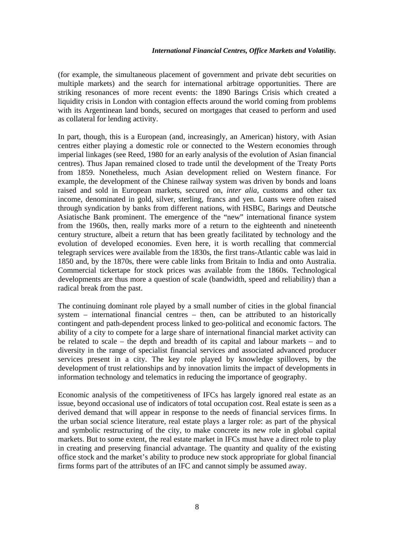(for example, the simultaneous placement of government and private debt securities on multiple markets) and the search for international arbitrage opportunities. There are striking resonances of more recent events: the 1890 Barings Crisis which created a liquidity crisis in London with contagion effects around the world coming from problems with its Argentinean land bonds, secured on mortgages that ceased to perform and used as collateral for lending activity.

In part, though, this is a European (and, increasingly, an American) history, with Asian centres either playing a domestic role or connected to the Western economies through imperial linkages (see Reed, 1980 for an early analysis of the evolution of Asian financial centres). Thus Japan remained closed to trade until the development of the Treaty Ports from 1859. Nonetheless, much Asian development relied on Western finance. For example, the development of the Chinese railway system was driven by bonds and loans raised and sold in European markets, secured on, *inter alia,* customs and other tax income, denominated in gold, silver, sterling, francs and yen. Loans were often raised through syndication by banks from different nations, with HSBC, Barings and Deutsche Asiatische Bank prominent. The emergence of the "new" international finance system from the 1960s, then, really marks more of a return to the eighteenth and nineteenth century structure, albeit a return that has been greatly facilitated by technology and the evolution of developed economies. Even here, it is worth recalling that commercial telegraph services were available from the 1830s, the first trans-Atlantic cable was laid in 1850 and, by the 1870s, there were cable links from Britain to India and onto Australia. Commercial tickertape for stock prices was available from the 1860s. Technological developments are thus more a question of scale (bandwidth, speed and reliability) than a radical break from the past.

The continuing dominant role played by a small number of cities in the global financial system – international financial centres – then, can be attributed to an historically contingent and path-dependent process linked to geo-political and economic factors. The ability of a city to compete for a large share of international financial market activity can be related to scale – the depth and breadth of its capital and labour markets – and to diversity in the range of specialist financial services and associated advanced producer services present in a city. The key role played by knowledge spillovers, by the development of trust relationships and by innovation limits the impact of developments in information technology and telematics in reducing the importance of geography.

Economic analysis of the competitiveness of IFCs has largely ignored real estate as an issue, beyond occasional use of indicators of total occupation cost. Real estate is seen as a derived demand that will appear in response to the needs of financial services firms. In the urban social science literature, real estate plays a larger role: as part of the physical and symbolic restructuring of the city, to make concrete its new role in global capital markets. But to some extent, the real estate market in IFCs must have a direct role to play in creating and preserving financial advantage. The quantity and quality of the existing office stock and the market's ability to produce new stock appropriate for global financial firms forms part of the attributes of an IFC and cannot simply be assumed away.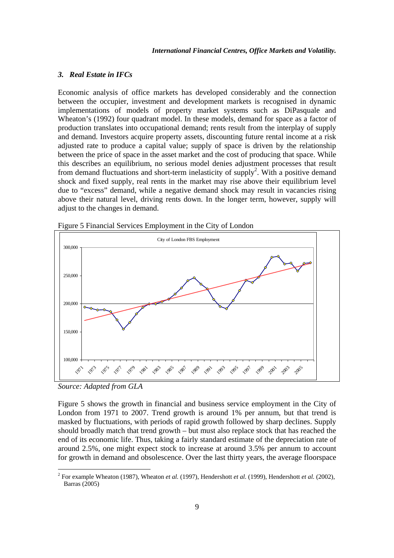### *3. Real Estate in IFCs*

Economic analysis of office markets has developed considerably and the connection between the occupier, investment and development markets is recognised in dynamic implementations of models of property market systems such as DiPasquale and Wheaton's (1992) four quadrant model. In these models, demand for space as a factor of production translates into occupational demand; rents result from the interplay of supply and demand. Investors acquire property assets, discounting future rental income at a risk adjusted rate to produce a capital value; supply of space is driven by the relationship between the price of space in the asset market and the cost of producing that space. While this describes an equilibrium, no serious model denies adjustment processes that result from demand fluctuations and short-term inelasticity of supply<sup>2</sup>. With a positive demand shock and fixed supply, real rents in the market may rise above their equilibrium level due to "excess" demand, while a negative demand shock may result in vacancies rising above their natural level, driving rents down. In the longer term, however, supply will adjust to the changes in demand.



Figure 5 Financial Services Employment in the City of London

*Source: Adapted from GLA* 

Figure 5 shows the growth in financial and business service employment in the City of London from 1971 to 2007. Trend growth is around 1% per annum, but that trend is masked by fluctuations, with periods of rapid growth followed by sharp declines. Supply should broadly match that trend growth – but must also replace stock that has reached the end of its economic life. Thus, taking a fairly standard estimate of the depreciation rate of around 2.5%, one might expect stock to increase at around 3.5% per annum to account for growth in demand and obsolescence. Over the last thirty years, the average floorspace

<sup>2</sup> For example Wheaton (1987), Wheaton *et al.* (1997), Hendershott *et al.* (1999), Hendershott *et al.* (2002), Barras (2005)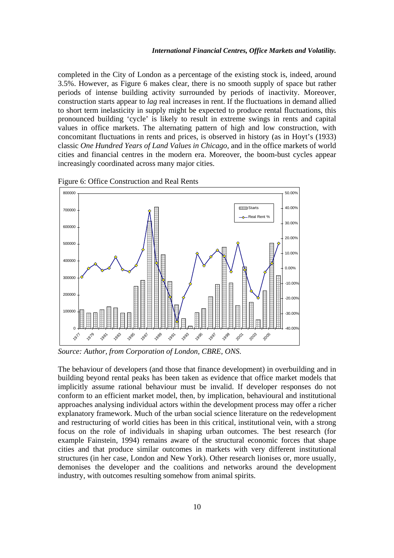completed in the City of London as a percentage of the existing stock is, indeed, around 3.5%. However, as Figure 6 makes clear, there is no smooth supply of space but rather periods of intense building activity surrounded by periods of inactivity. Moreover, construction starts appear to *lag* real increases in rent. If the fluctuations in demand allied to short term inelasticity in supply might be expected to produce rental fluctuations, this pronounced building 'cycle' is likely to result in extreme swings in rents and capital values in office markets. The alternating pattern of high and low construction, with concomitant fluctuations in rents and prices, is observed in history (as in Hoyt's (1933) classic *One Hundred Years of Land Values in Chicago,* and in the office markets of world cities and financial centres in the modern era. Moreover, the boom-bust cycles appear increasingly coordinated across many major cities.



Figure 6: Office Construction and Real Rents

*Source: Author, from Corporation of London, CBRE, ONS.* 

The behaviour of developers (and those that finance development) in overbuilding and in building beyond rental peaks has been taken as evidence that office market models that implicitly assume rational behaviour must be invalid. If developer responses do not conform to an efficient market model, then, by implication, behavioural and institutional approaches analysing individual actors within the development process may offer a richer explanatory framework. Much of the urban social science literature on the redevelopment and restructuring of world cities has been in this critical, institutional vein, with a strong focus on the role of individuals in shaping urban outcomes. The best research (for example Fainstein, 1994) remains aware of the structural economic forces that shape cities and that produce similar outcomes in markets with very different institutional structures (in her case, London and New York). Other research lionises or, more usually, demonises the developer and the coalitions and networks around the development industry, with outcomes resulting somehow from animal spirits.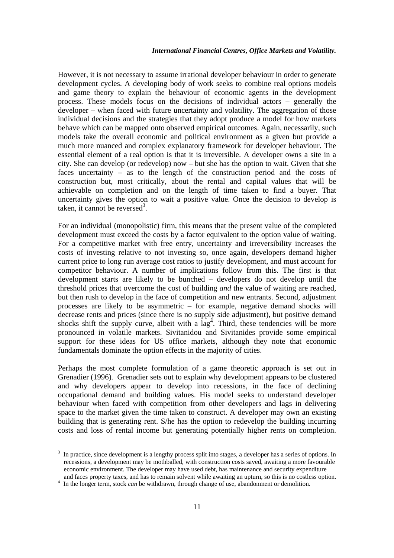However, it is not necessary to assume irrational developer behaviour in order to generate development cycles. A developing body of work seeks to combine real options models and game theory to explain the behaviour of economic agents in the development process. These models focus on the decisions of individual actors – generally the developer – when faced with future uncertainty and volatility. The aggregation of those individual decisions and the strategies that they adopt produce a model for how markets behave which can be mapped onto observed empirical outcomes. Again, necessarily, such models take the overall economic and political environment as a given but provide a much more nuanced and complex explanatory framework for developer behaviour. The essential element of a real option is that it is irreversible. A developer owns a site in a city. She can develop (or redevelop) now – but she has the option to wait. Given that she faces uncertainty – as to the length of the construction period and the costs of construction but, most critically, about the rental and capital values that will be achievable on completion and on the length of time taken to find a buyer. That uncertainty gives the option to wait a positive value. Once the decision to develop is taken, it cannot be reversed<sup>3</sup>.

For an individual (monopolistic) firm, this means that the present value of the completed development must exceed the costs by a factor equivalent to the option value of waiting. For a competitive market with free entry, uncertainty and irreversibility increases the costs of investing relative to not investing so, once again, developers demand higher current price to long run average cost ratios to justify development, and must account for competitor behaviour. A number of implications follow from this. The first is that development starts are likely to be bunched – developers do not develop until the threshold prices that overcome the cost of building *and* the value of waiting are reached, but then rush to develop in the face of competition and new entrants. Second, adjustment processes are likely to be asymmetric – for example, negative demand shocks will decrease rents and prices (since there is no supply side adjustment), but positive demand shocks shift the supply curve, albeit with a  $\overline{lag}^4$ . Third, these tendencies will be more pronounced in volatile markets. Sivitanidou and Sivitanides provide some empirical support for these ideas for US office markets, although they note that economic fundamentals dominate the option effects in the majority of cities.

Perhaps the most complete formulation of a game theoretic approach is set out in Grenadier (1996)*.* Grenadier sets out to explain why development appears to be clustered and why developers appear to develop into recessions, in the face of declining occupational demand and building values. His model seeks to understand developer behaviour when faced with competition from other developers and lags in delivering space to the market given the time taken to construct. A developer may own an existing building that is generating rent. S/he has the option to redevelop the building incurring costs and loss of rental income but generating potentially higher rents on completion.

<sup>&</sup>lt;sup>3</sup> In practice, since development is a lengthy process split into stages, a developer has a series of options. In recessions, a development may be mothballed, with construction costs saved, awaiting a more favourable economic environment. The developer may have used debt, has maintenance and security expenditure and faces property taxes, and has to remain solvent while awaiting an upturn, so this is no costless option. 4

<sup>&</sup>lt;sup>4</sup> In the longer term, stock *can* be withdrawn, through change of use, abandonment or demolition.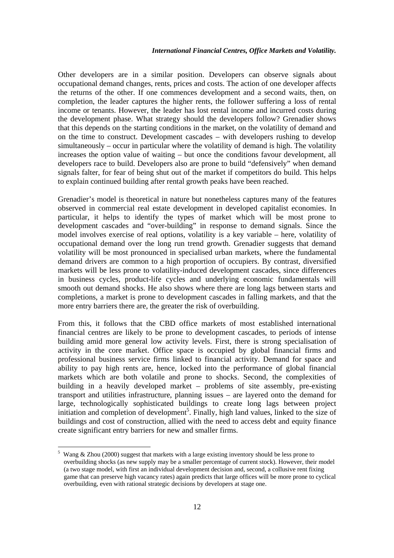Other developers are in a similar position. Developers can observe signals about occupational demand changes, rents, prices and costs. The action of one developer affects the returns of the other. If one commences development and a second waits, then, on completion, the leader captures the higher rents, the follower suffering a loss of rental income or tenants. However, the leader has lost rental income and incurred costs during the development phase. What strategy should the developers follow? Grenadier shows that this depends on the starting conditions in the market, on the volatility of demand and on the time to construct. Development cascades – with developers rushing to develop simultaneously – occur in particular where the volatility of demand is high. The volatility increases the option value of waiting – but once the conditions favour development, all developers race to build. Developers also are prone to build "defensively" when demand signals falter, for fear of being shut out of the market if competitors do build. This helps to explain continued building after rental growth peaks have been reached.

Grenadier's model is theoretical in nature but nonetheless captures many of the features observed in commercial real estate development in developed capitalist economies. In particular, it helps to identify the types of market which will be most prone to development cascades and "over-building" in response to demand signals. Since the model involves exercise of real options, volatility is a key variable – here, volatility of occupational demand over the long run trend growth. Grenadier suggests that demand volatility will be most pronounced in specialised urban markets, where the fundamental demand drivers are common to a high proportion of occupiers. By contrast, diversified markets will be less prone to volatility-induced development cascades, since differences in business cycles, product-life cycles and underlying economic fundamentals will smooth out demand shocks. He also shows where there are long lags between starts and completions, a market is prone to development cascades in falling markets, and that the more entry barriers there are, the greater the risk of overbuilding.

From this, it follows that the CBD office markets of most established international financial centres are likely to be prone to development cascades, to periods of intense building amid more general low activity levels. First, there is strong specialisation of activity in the core market. Office space is occupied by global financial firms and professional business service firms linked to financial activity. Demand for space and ability to pay high rents are, hence, locked into the performance of global financial markets which are both volatile and prone to shocks. Second, the complexities of building in a heavily developed market – problems of site assembly, pre-existing transport and utilities infrastructure, planning issues – are layered onto the demand for large, technologically sophisticated buildings to create long lags between project initiation and completion of development<sup>5</sup>. Finally, high land values, linked to the size of buildings and cost of construction, allied with the need to access debt and equity finance create significant entry barriers for new and smaller firms.

<sup>&</sup>lt;sup>5</sup> Wang & Zhou (2000) suggest that markets with a large existing inventory should be less prone to overbuilding shocks (as new supply may be a smaller percentage of current stock). However, their model (a two stage model, with first an individual development decision and, second, a collusive rent fixing game that can preserve high vacancy rates) again predicts that large offices will be more prone to cyclical overbuilding, even with rational strategic decisions by developers at stage one.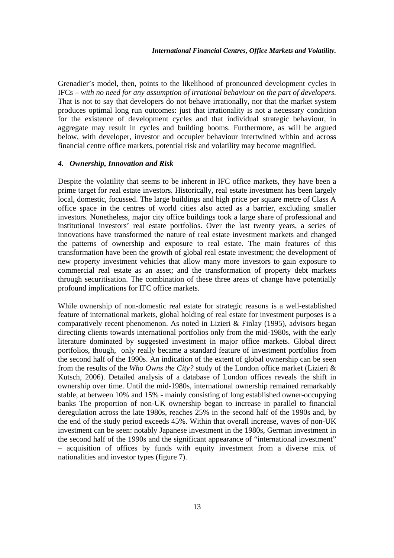Grenadier's model, then, points to the likelihood of pronounced development cycles in IFCs – *with no need for any assumption of irrational behaviour on the part of developers.*  That is not to say that developers do not behave irrationally, nor that the market system produces optimal long run outcomes: just that irrationality is not a necessary condition for the existence of development cycles and that individual strategic behaviour, in aggregate may result in cycles and building booms. Furthermore, as will be argued below, with developer, investor and occupier behaviour intertwined within and across financial centre office markets, potential risk and volatility may become magnified.

#### *4. Ownership, Innovation and Risk*

Despite the volatility that seems to be inherent in IFC office markets, they have been a prime target for real estate investors. Historically, real estate investment has been largely local, domestic, focussed. The large buildings and high price per square metre of Class A office space in the centres of world cities also acted as a barrier, excluding smaller investors. Nonetheless, major city office buildings took a large share of professional and institutional investors' real estate portfolios. Over the last twenty years, a series of innovations have transformed the nature of real estate investment markets and changed the patterns of ownership and exposure to real estate. The main features of this transformation have been the growth of global real estate investment; the development of new property investment vehicles that allow many more investors to gain exposure to commercial real estate as an asset; and the transformation of property debt markets through securitisation. The combination of these three areas of change have potentially profound implications for IFC office markets.

While ownership of non-domestic real estate for strategic reasons is a well-established feature of international markets, global holding of real estate for investment purposes is a comparatively recent phenomenon. As noted in Lizieri & Finlay (1995), advisors began directing clients towards international portfolios only from the mid-1980s, with the early literature dominated by suggested investment in major office markets. Global direct portfolios, though, only really became a standard feature of investment portfolios from the second half of the 1990s. An indication of the extent of global ownership can be seen from the results of the *Who Owns the City?* study of the London office market (Lizieri & Kutsch, 2006). Detailed analysis of a database of London offices reveals the shift in ownership over time. Until the mid-1980s, international ownership remained remarkably stable, at between 10% and 15% - mainly consisting of long established owner-occupying banks The proportion of non-UK ownership began to increase in parallel to financial deregulation across the late 1980s, reaches 25% in the second half of the 1990s and, by the end of the study period exceeds 45%. Within that overall increase, waves of non-UK investment can be seen: notably Japanese investment in the 1980s, German investment in the second half of the 1990s and the significant appearance of "international investment" – acquisition of offices by funds with equity investment from a diverse mix of nationalities and investor types (figure 7).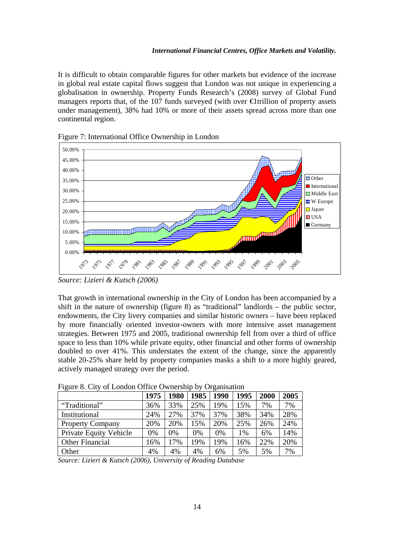It is difficult to obtain comparable figures for other markets but evidence of the increase in global real estate capital flows suggest that London was not unique in experiencing a globalisation in ownership. Property Funds Research's (2008) survey of Global Fund managers reports that, of the 107 funds surveyed (with over  $\in$ Itrillion of property assets under management), 38% had 10% or more of their assets spread across more than one continental region.



Figure 7: International Office Ownership in London

*Source: Lizieri & Kutsch (2006)* 

That growth in international ownership in the City of London has been accompanied by a shift in the nature of ownership (figure 8) as "traditional" landlords – the public sector, endowments, the City livery companies and similar historic owners – have been replaced by more financially oriented investor-owners with more intensive asset management strategies. Between 1975 and 2005, traditional ownership fell from over a third of office space to less than 10% while private equity, other financial and other forms of ownership doubled to over 41%. This understates the extent of the change, since the apparently stable 20-25% share held by property companies masks a shift to a more highly geared, actively managed strategy over the period.

|                         | 1975 | 1980 | 1985 | 1990 | 1995 | 2000 | 2005 |
|-------------------------|------|------|------|------|------|------|------|
| "Traditional"           | 36%  | 33%  | 25%  | 19%  | 15%  | 7%   | 7%   |
| Institutional           | 24%  | 27%  | 37%  | 37%  | 38%  | 34%  | 28%  |
| <b>Property Company</b> | 20%  | 20%  | 15%  | 20%  | 25%  | 26%  | 24%  |
| Private Equity Vehicle  | 0%   | 0%   | 0%   | 0%   | 1%   | 6%   | 14%  |
| <b>Other Financial</b>  | 16%  | 17%  | 19%  | 19%  | 16%  | 22%  | 20%  |
| Other                   | 4%   | 4%   | 4%   | 6%   | 5%   | 5%   | 7%   |

Figure 8. City of London Office Ownership by Organisation

*Source: Lizieri & Kutsch (2006), University of Reading Database*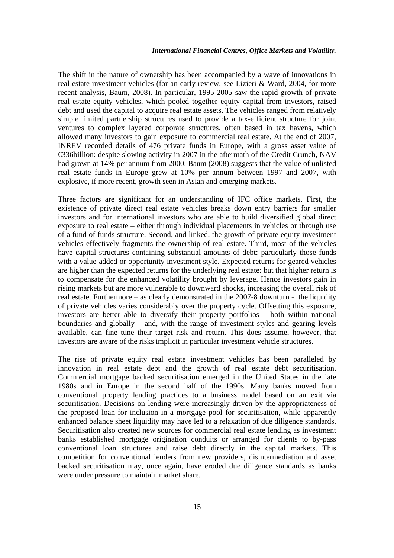The shift in the nature of ownership has been accompanied by a wave of innovations in real estate investment vehicles (for an early review, see Lizieri & Ward, 2004, for more recent analysis, Baum, 2008). In particular, 1995-2005 saw the rapid growth of private real estate equity vehicles, which pooled together equity capital from investors, raised debt and used the capital to acquire real estate assets. The vehicles ranged from relatively simple limited partnership structures used to provide a tax-efficient structure for joint ventures to complex layered corporate structures, often based in tax havens, which allowed many investors to gain exposure to commercial real estate. At the end of 2007, INREV recorded details of 476 private funds in Europe, with a gross asset value of €336billion: despite slowing activity in 2007 in the aftermath of the Credit Crunch, NAV had grown at 14% per annum from 2000. Baum (2008) suggests that the value of unlisted real estate funds in Europe grew at 10% per annum between 1997 and 2007, with explosive, if more recent, growth seen in Asian and emerging markets.

Three factors are significant for an understanding of IFC office markets. First, the existence of private direct real estate vehicles breaks down entry barriers for smaller investors and for international investors who are able to build diversified global direct exposure to real estate – either through individual placements in vehicles or through use of a fund of funds structure. Second, and linked, the growth of private equity investment vehicles effectively fragments the ownership of real estate. Third, most of the vehicles have capital structures containing substantial amounts of debt: particularly those funds with a value-added or opportunity investment style. Expected returns for geared vehicles are higher than the expected returns for the underlying real estate: but that higher return is to compensate for the enhanced volatility brought by leverage. Hence investors gain in rising markets but are more vulnerable to downward shocks, increasing the overall risk of real estate. Furthermore – as clearly demonstrated in the 2007-8 downturn - the liquidity of private vehicles varies considerably over the property cycle. Offsetting this exposure, investors are better able to diversify their property portfolios – both within national boundaries and globally – and, with the range of investment styles and gearing levels available, can fine tune their target risk and return. This does assume, however, that investors are aware of the risks implicit in particular investment vehicle structures.

The rise of private equity real estate investment vehicles has been paralleled by innovation in real estate debt and the growth of real estate debt securitisation. Commercial mortgage backed securitisation emerged in the United States in the late 1980s and in Europe in the second half of the 1990s. Many banks moved from conventional property lending practices to a business model based on an exit via securitisation. Decisions on lending were increasingly driven by the appropriateness of the proposed loan for inclusion in a mortgage pool for securitisation, while apparently enhanced balance sheet liquidity may have led to a relaxation of due diligence standards. Securitisation also created new sources for commercial real estate lending as investment banks established mortgage origination conduits or arranged for clients to by-pass conventional loan structures and raise debt directly in the capital markets. This competition for conventional lenders from new providers, disintermediation and asset backed securitisation may, once again, have eroded due diligence standards as banks were under pressure to maintain market share.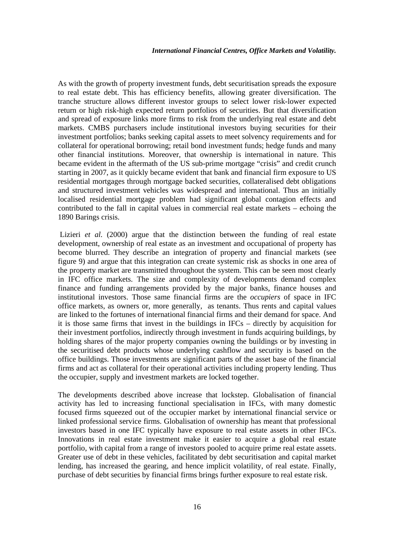As with the growth of property investment funds, debt securitisation spreads the exposure to real estate debt. This has efficiency benefits, allowing greater diversification. The tranche structure allows different investor groups to select lower risk-lower expected return or high risk-high expected return portfolios of securities. But that diversification and spread of exposure links more firms to risk from the underlying real estate and debt markets. CMBS purchasers include institutional investors buying securities for their investment portfolios; banks seeking capital assets to meet solvency requirements and for collateral for operational borrowing; retail bond investment funds; hedge funds and many other financial institutions. Moreover, that ownership is international in nature. This became evident in the aftermath of the US sub-prime mortgage "crisis" and credit crunch starting in 2007, as it quickly became evident that bank and financial firm exposure to US residential mortgages through mortgage backed securities, collateralised debt obligations and structured investment vehicles was widespread and international. Thus an initially localised residential mortgage problem had significant global contagion effects and contributed to the fall in capital values in commercial real estate markets – echoing the 1890 Barings crisis.

Lizieri *et al.* (2000) argue that the distinction between the funding of real estate development, ownership of real estate as an investment and occupational of property has become blurred. They describe an integration of property and financial markets (see figure 9) and argue that this integration can create systemic risk as shocks in one area of the property market are transmitted throughout the system. This can be seen most clearly in IFC office markets. The size and complexity of developments demand complex finance and funding arrangements provided by the major banks, finance houses and institutional investors. Those same financial firms are the *occupiers* of space in IFC office markets, as owners or, more generally, as tenants. Thus rents and capital values are linked to the fortunes of international financial firms and their demand for space. And it is those same firms that invest in the buildings in IFCs – directly by acquisition for their investment portfolios, indirectly through investment in funds acquiring buildings, by holding shares of the major property companies owning the buildings or by investing in the securitised debt products whose underlying cashflow and security is based on the office buildings. Those investments are significant parts of the asset base of the financial firms and act as collateral for their operational activities including property lending. Thus the occupier, supply and investment markets are locked together.

The developments described above increase that lockstep. Globalisation of financial activity has led to increasing functional specialisation in IFCs, with many domestic focused firms squeezed out of the occupier market by international financial service or linked professional service firms. Globalisation of ownership has meant that professional investors based in one IFC typically have exposure to real estate assets in other IFCs. Innovations in real estate investment make it easier to acquire a global real estate portfolio, with capital from a range of investors pooled to acquire prime real estate assets. Greater use of debt in these vehicles, facilitated by debt securitisation and capital market lending, has increased the gearing, and hence implicit volatility, of real estate. Finally, purchase of debt securities by financial firms brings further exposure to real estate risk.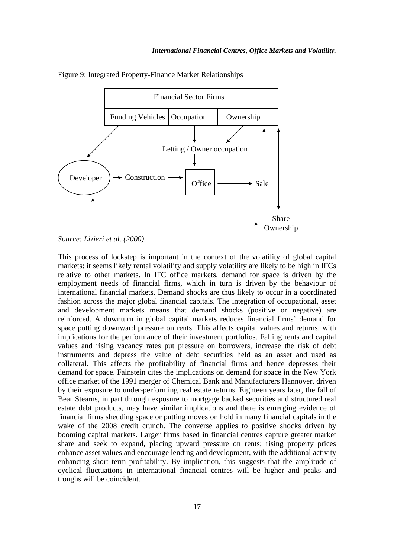

Figure 9: Integrated Property-Finance Market Relationships

This process of lockstep is important in the context of the volatility of global capital markets: it seems likely rental volatility and supply volatility are likely to be high in IFCs relative to other markets. In IFC office markets, demand for space is driven by the employment needs of financial firms, which in turn is driven by the behaviour of international financial markets. Demand shocks are thus likely to occur in a coordinated fashion across the major global financial capitals. The integration of occupational, asset and development markets means that demand shocks (positive or negative) are reinforced. A downturn in global capital markets reduces financial firms' demand for space putting downward pressure on rents. This affects capital values and returns, with implications for the performance of their investment portfolios. Falling rents and capital values and rising vacancy rates put pressure on borrowers, increase the risk of debt instruments and depress the value of debt securities held as an asset and used as collateral. This affects the profitability of financial firms and hence depresses their demand for space. Fainstein cites the implications on demand for space in the New York office market of the 1991 merger of Chemical Bank and Manufacturers Hannover, driven by their exposure to under-performing real estate returns. Eighteen years later, the fall of Bear Stearns, in part through exposure to mortgage backed securities and structured real estate debt products, may have similar implications and there is emerging evidence of financial firms shedding space or putting moves on hold in many financial capitals in the wake of the 2008 credit crunch. The converse applies to positive shocks driven by booming capital markets. Larger firms based in financial centres capture greater market share and seek to expand, placing upward pressure on rents; rising property prices enhance asset values and encourage lending and development, with the additional activity enhancing short term profitability. By implication, this suggests that the amplitude of cyclical fluctuations in international financial centres will be higher and peaks and troughs will be coincident.

*Source: Lizieri et al. (2000).*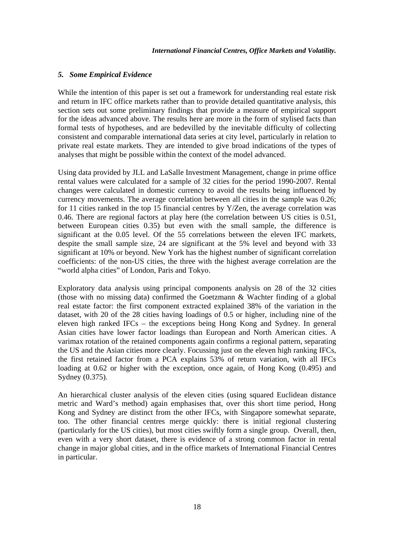#### *5. Some Empirical Evidence*

While the intention of this paper is set out a framework for understanding real estate risk and return in IFC office markets rather than to provide detailed quantitative analysis, this section sets out some preliminary findings that provide a measure of empirical support for the ideas advanced above. The results here are more in the form of stylised facts than formal tests of hypotheses, and are bedevilled by the inevitable difficulty of collecting consistent and comparable international data series at city level, particularly in relation to private real estate markets. They are intended to give broad indications of the types of analyses that might be possible within the context of the model advanced.

Using data provided by JLL and LaSalle Investment Management, change in prime office rental values were calculated for a sample of 32 cities for the period 1990-2007. Rental changes were calculated in domestic currency to avoid the results being influenced by currency movements. The average correlation between all cities in the sample was 0.26; for 11 cities ranked in the top 15 financial centres by Y/Zen, the average correlation was 0.46. There are regional factors at play here (the correlation between US cities is 0.51, between European cities 0.35) but even with the small sample, the difference is significant at the 0.05 level. Of the 55 correlations between the eleven IFC markets, despite the small sample size, 24 are significant at the 5% level and beyond with 33 significant at 10% or beyond. New York has the highest number of significant correlation coefficients: of the non-US cities, the three with the highest average correlation are the "world alpha cities" of London, Paris and Tokyo.

Exploratory data analysis using principal components analysis on 28 of the 32 cities (those with no missing data) confirmed the Goetzmann & Wachter finding of a global real estate factor: the first component extracted explained 38% of the variation in the dataset, with 20 of the 28 cities having loadings of 0.5 or higher, including nine of the eleven high ranked IFCs – the exceptions being Hong Kong and Sydney. In general Asian cities have lower factor loadings than European and North American cities. A varimax rotation of the retained components again confirms a regional pattern, separating the US and the Asian cities more clearly. Focussing just on the eleven high ranking IFCs, the first retained factor from a PCA explains 53% of return variation, with all IFCs loading at 0.62 or higher with the exception, once again, of Hong Kong (0.495) and Sydney (0.375).

An hierarchical cluster analysis of the eleven cities (using squared Euclidean distance metric and Ward's method) again emphasises that, over this short time period, Hong Kong and Sydney are distinct from the other IFCs, with Singapore somewhat separate, too. The other financial centres merge quickly: there is initial regional clustering (particularly for the US cities), but most cities swiftly form a single group. Overall, then, even with a very short dataset, there is evidence of a strong common factor in rental change in major global cities, and in the office markets of International Financial Centres in particular.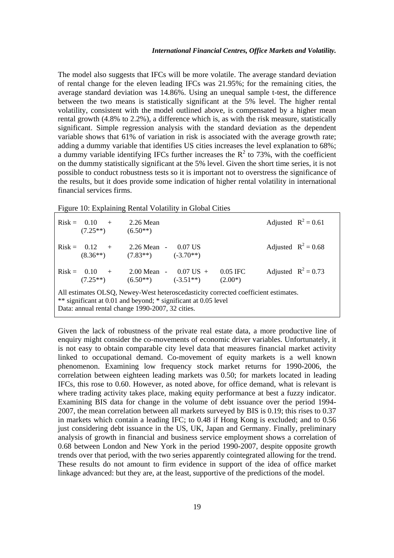The model also suggests that IFCs will be more volatile. The average standard deviation of rental change for the eleven leading IFCs was 21.95%; for the remaining cities, the average standard deviation was 14.86%. Using an unequal sample t-test, the difference between the two means is statistically significant at the 5% level. The higher rental volatility, consistent with the model outlined above, is compensated by a higher mean rental growth (4.8% to 2.2%), a difference which is, as with the risk measure, statistically significant. Simple regression analysis with the standard deviation as the dependent variable shows that 61% of variation in risk is associated with the average growth rate; adding a dummy variable that identifies US cities increases the level explanation to 68%; a dummy variable identifying IFCs further increases the  $\mathbb{R}^2$  to 73%, with the coefficient on the dummy statistically significant at the 5% level. Given the short time series, it is not possible to conduct robustness tests so it is important not to overstress the significance of the results, but it does provide some indication of higher rental volatility in international financial services firms.

Figure 10: Explaining Rental Volatility in Global Cities

|                                                                                                                                                                                                          | $Risk = 0.10 + 2.26$ Mean<br>$(7.25**)$<br>$(6.50**)$                                               |  |  |                         | Adjusted $R^2 = 0.61$ |  |  |
|----------------------------------------------------------------------------------------------------------------------------------------------------------------------------------------------------------|-----------------------------------------------------------------------------------------------------|--|--|-------------------------|-----------------------|--|--|
| $Risk = 0.12 +$                                                                                                                                                                                          | 2.26 Mean - 0.07 US<br>$(8.36^{**})$ $(7.83^{**})$ $(-3.70^{**})$                                   |  |  |                         | Adjusted $R^2 = 0.68$ |  |  |
|                                                                                                                                                                                                          | $Risk = 0.10 + 2.00 \text{ Mean} - 0.07 \text{ US} +$<br>$(7.25^{**})$ $(6.50^{**})$ $(-3.51^{**})$ |  |  | $0.05$ IFC<br>$(2.00*)$ | Adjusted $R^2 = 0.73$ |  |  |
| All estimates OLSQ, Newey-West heteroscedasticity corrected coefficient estimates.<br>** significant at 0.01 and beyond; * significant at 0.05 level<br>Data: annual rental change 1990-2007, 32 cities. |                                                                                                     |  |  |                         |                       |  |  |

Given the lack of robustness of the private real estate data, a more productive line of enquiry might consider the co-movements of economic driver variables. Unfortunately, it is not easy to obtain comparable city level data that measures financial market activity linked to occupational demand. Co-movement of equity markets is a well known phenomenon. Examining low frequency stock market returns for 1990-2006, the correlation between eighteen leading markets was 0.50; for markets located in leading IFCs, this rose to 0.60. However, as noted above, for office demand, what is relevant is where trading activity takes place, making equity performance at best a fuzzy indicator. Examining BIS data for change in the volume of debt issuance over the period 1994- 2007, the mean correlation between all markets surveyed by BIS is 0.19; this rises to 0.37 in markets which contain a leading IFC; to 0.48 if Hong Kong is excluded; and to 0.56 just considering debt issuance in the US, UK, Japan and Germany. Finally, preliminary analysis of growth in financial and business service employment shows a correlation of 0.68 between London and New York in the period 1990-2007, despite opposite growth trends over that period, with the two series apparently cointegrated allowing for the trend. These results do not amount to firm evidence in support of the idea of office market linkage advanced: but they are, at the least, supportive of the predictions of the model.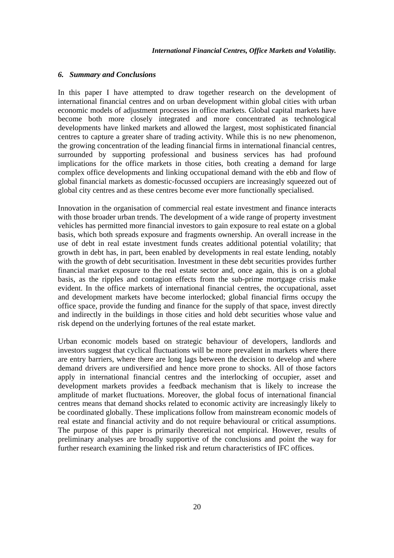#### *6. Summary and Conclusions*

In this paper I have attempted to draw together research on the development of international financial centres and on urban development within global cities with urban economic models of adjustment processes in office markets. Global capital markets have become both more closely integrated and more concentrated as technological developments have linked markets and allowed the largest, most sophisticated financial centres to capture a greater share of trading activity. While this is no new phenomenon, the growing concentration of the leading financial firms in international financial centres, surrounded by supporting professional and business services has had profound implications for the office markets in those cities, both creating a demand for large complex office developments and linking occupational demand with the ebb and flow of global financial markets as domestic-focussed occupiers are increasingly squeezed out of global city centres and as these centres become ever more functionally specialised.

Innovation in the organisation of commercial real estate investment and finance interacts with those broader urban trends. The development of a wide range of property investment vehicles has permitted more financial investors to gain exposure to real estate on a global basis, which both spreads exposure and fragments ownership. An overall increase in the use of debt in real estate investment funds creates additional potential volatility; that growth in debt has, in part, been enabled by developments in real estate lending, notably with the growth of debt securitisation. Investment in these debt securities provides further financial market exposure to the real estate sector and, once again, this is on a global basis, as the ripples and contagion effects from the sub-prime mortgage crisis make evident. In the office markets of international financial centres, the occupational, asset and development markets have become interlocked; global financial firms occupy the office space, provide the funding and finance for the supply of that space, invest directly and indirectly in the buildings in those cities and hold debt securities whose value and risk depend on the underlying fortunes of the real estate market.

Urban economic models based on strategic behaviour of developers, landlords and investors suggest that cyclical fluctuations will be more prevalent in markets where there are entry barriers, where there are long lags between the decision to develop and where demand drivers are undiversified and hence more prone to shocks. All of those factors apply in international financial centres and the interlocking of occupier, asset and development markets provides a feedback mechanism that is likely to increase the amplitude of market fluctuations. Moreover, the global focus of international financial centres means that demand shocks related to economic activity are increasingly likely to be coordinated globally. These implications follow from mainstream economic models of real estate and financial activity and do not require behavioural or critical assumptions. The purpose of this paper is primarily theoretical not empirical. However, results of preliminary analyses are broadly supportive of the conclusions and point the way for further research examining the linked risk and return characteristics of IFC offices.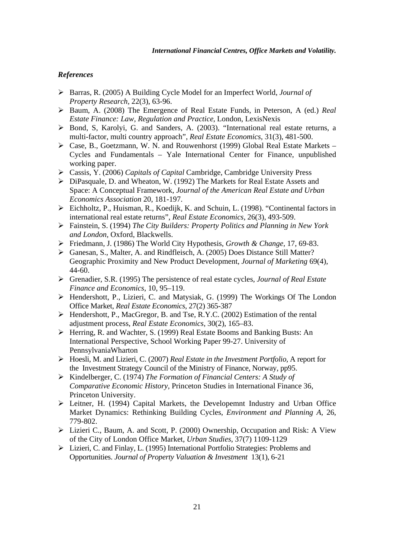### *References*

- ¾ Barras, R. (2005) A Building Cycle Model for an Imperfect World, *Journal of Property Research,* 22(3), 63-96.
- ¾ Baum, A. (2008) The Emergence of Real Estate Funds, in Peterson, A (ed.) *Real Estate Finance: Law, Regulation and Practice*, London, LexisNexis
- ¾ Bond, S, Karolyi, G. and Sanders, A. (2003). "International real estate returns, a multi-factor, multi country approach", *Real Estate Economics,* 31(3), 481-500.
- ¾ Case, B., Goetzmann, W. N. and Rouwenhorst (1999) Global Real Estate Markets Cycles and Fundamentals – Yale International Center for Finance, unpublished working paper.
- ¾ Cassis, Y. (2006) *Capitals of Capital* Cambridge, Cambridge University Press
- ¾ DiPasquale, D. and Wheaton, W. (1992) The Markets for Real Estate Assets and Space: A Conceptual Framework, *Journal of the American Real Estate and Urban Economics Association* 20, 181-197.
- ¾ Eichholtz, P., Huisman, R., Koedijk, K. and Schuin, L. (1998). "Continental factors in international real estate returns", *Real Estate Economics,* 26(3), 493-509.
- ¾ Fainstein, S. (1994) *The City Builders: Property Politics and Planning in New York and London,* Oxford, Blackwells.
- ¾ Friedmann, J. (1986) The World City Hypothesis, *Growth & Change,* 17, 69-83.
- ¾ Ganesan, S., Malter, A. and Rindfleisch, A. (2005) Does Distance Still Matter? Geographic Proximity and New Product Development, *Journal of Marketing* 69(4), 44-60.
- ¾ Grenadier, S.R. (1995) The persistence of real estate cycles, *Journal of Real Estate Finance and Economics*, 10, 95–119.
- ¾ Hendershott, P., Lizieri, C. and Matysiak, G. (1999) The Workings Of The London Office Market, *Real Estate Economics*, 27(2) 365-387
- $\blacktriangleright$  Hendershott, P., MacGregor, B. and Tse, R.Y.C. (2002) Estimation of the rental adjustment process, *Real Estate Economics*, 30(2), 165–83.
- $\triangleright$  Herring, R. and Wachter, S. (1999) Real Estate Booms and Banking Busts: An International Perspective, School Working Paper 99-27. University of PennsylvaniaWharton
- ¾ Hoesli, M. and Lizieri, C. (2007) *Real Estate in the Investment Portfolio,* A report for the Investment Strategy Council of the Ministry of Finance, Norway, pp95.
- ¾ Kindelberger, C. (1974) *The Formation of Financial Centers: A Study of Comparative Economic History,* Princeton Studies in International Finance 36, Princeton University.
- ¾ Leitner, H. (1994) Capital Markets, the Developemnt Industry and Urban Office Market Dynamics: Rethinking Building Cycles, *Environment and Planning A,* 26, 779-802.
- $\triangleright$  Lizieri C., Baum, A. and Scott, P. (2000) Ownership, Occupation and Risk: A View of the City of London Office Market, *Urban Studies*, 37(7) 1109-1129
- ¾ Lizieri, C. and Finlay, L. (1995) International Portfolio Strategies: Problems and Opportunities. *Journal of Property Valuation & Investment* 13(1), 6-21